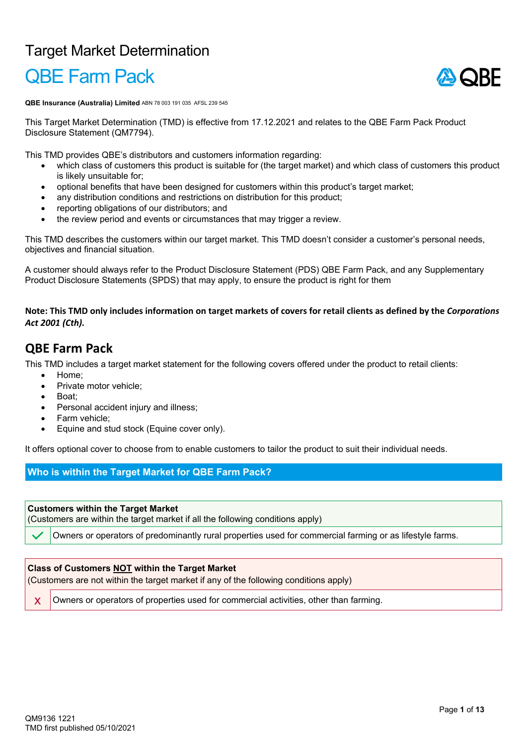## Target Market Determination

# QBE Farm Pack



**QBE Insurance (Australia) Limited** ABN 78 003 191 035 AFSL 239 545

This Target Market Determination (TMD) is effective from 17.12.2021 and relates to the QBE Farm Pack Product Disclosure Statement (QM7794).

This TMD provides QBE's distributors and customers information regarding:

- which class of customers this product is suitable for (the target market) and which class of customers this product is likely unsuitable for;
- optional benefits that have been designed for customers within this product's target market;
- any distribution conditions and restrictions on distribution for this product;
- reporting obligations of our distributors; and
- the review period and events or circumstances that may trigger a review.

This TMD describes the customers within our target market. This TMD doesn't consider a customer's personal needs, objectives and financial situation.

A customer should always refer to the Product Disclosure Statement (PDS) QBE Farm Pack, and any Supplementary Product Disclosure Statements (SPDS) that may apply, to ensure the product is right for them

**Note: This TMD only includes information on target markets of covers for retail clients as defined by the** *Corporations Act 2001 (Cth).*

### **QBE Farm Pack**

This TMD includes a target market statement for the following covers offered under the product to retail clients:

- Home;
- Private motor vehicle;
- Boat;
- Personal accident injury and illness;
- Farm vehicle;
- Equine and stud stock (Equine cover only).

It offers optional cover to choose from to enable customers to tailor the product to suit their individual needs.

#### **Who is within the Target Market for QBE Farm Pack?**

#### **Customers within the Target Market**

(Customers are within the target market if all the following conditions apply)

Owners or operators of predominantly rural properties used for commercial farming or as lifestyle farms.

#### **Class of Customers NOT within the Target Market**

(Customers are not within the target market if any of the following conditions apply)

x Owners or operators of properties used for commercial activities, other than farming.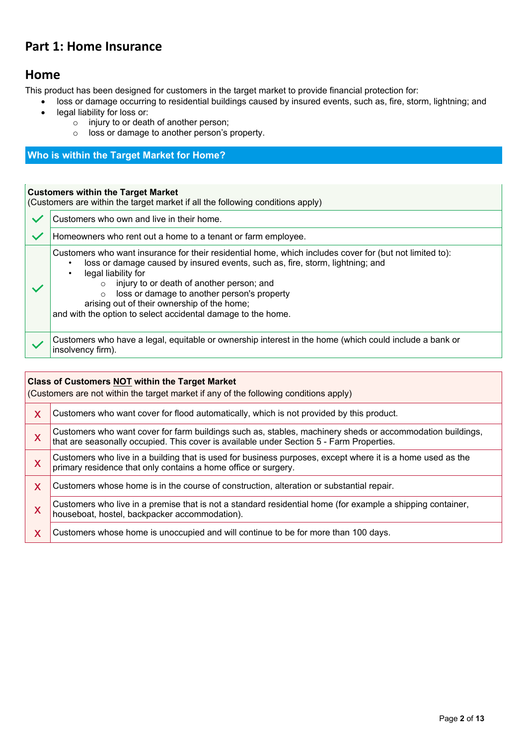### **Part 1: Home Insurance**

### **Home**

This product has been designed for customers in the target market to provide financial protection for:

- loss or damage occurring to residential buildings caused by insured events, such as, fire, storm, lightning; and
	- legal liability for loss or:
		- o injury to or death of another person;
		- o loss or damage to another person's property.

#### **Who is within the Target Market for Home?**

### **Customers within the Target Market**

|              | <b>UUSLUITEIS WILHIII LIIE TALUEL MATKEL</b><br>(Customers are within the target market if all the following conditions apply)                                                                                                                                                                                                                                                                                                         |  |
|--------------|----------------------------------------------------------------------------------------------------------------------------------------------------------------------------------------------------------------------------------------------------------------------------------------------------------------------------------------------------------------------------------------------------------------------------------------|--|
|              | Customers who own and live in their home.                                                                                                                                                                                                                                                                                                                                                                                              |  |
| $\checkmark$ | Homeowners who rent out a home to a tenant or farm employee.                                                                                                                                                                                                                                                                                                                                                                           |  |
|              | Customers who want insurance for their residential home, which includes cover for (but not limited to):<br>loss or damage caused by insured events, such as, fire, storm, lightning; and<br>legal liability for<br>injury to or death of another person; and<br>loss or damage to another person's property<br>$\Omega$<br>arising out of their ownership of the home;<br>and with the option to select accidental damage to the home. |  |
|              | Customers who have a legal, equitable or ownership interest in the home (which could include a bank or<br>insolvency firm).                                                                                                                                                                                                                                                                                                            |  |

|   | <b>Class of Customers NOT within the Target Market</b><br>(Customers are not within the target market if any of the following conditions apply)                                                       |  |
|---|-------------------------------------------------------------------------------------------------------------------------------------------------------------------------------------------------------|--|
| X | Customers who want cover for flood automatically, which is not provided by this product.                                                                                                              |  |
| X | Customers who want cover for farm buildings such as, stables, machinery sheds or accommodation buildings,<br>that are seasonally occupied. This cover is available under Section 5 - Farm Properties. |  |
| X | Customers who live in a building that is used for business purposes, except where it is a home used as the<br>primary residence that only contains a home office or surgery.                          |  |
| X | Customers whose home is in the course of construction, alteration or substantial repair.                                                                                                              |  |
| X | Customers who live in a premise that is not a standard residential home (for example a shipping container,<br>houseboat, hostel, backpacker accommodation).                                           |  |
| X | Customers whose home is unoccupied and will continue to be for more than 100 days.                                                                                                                    |  |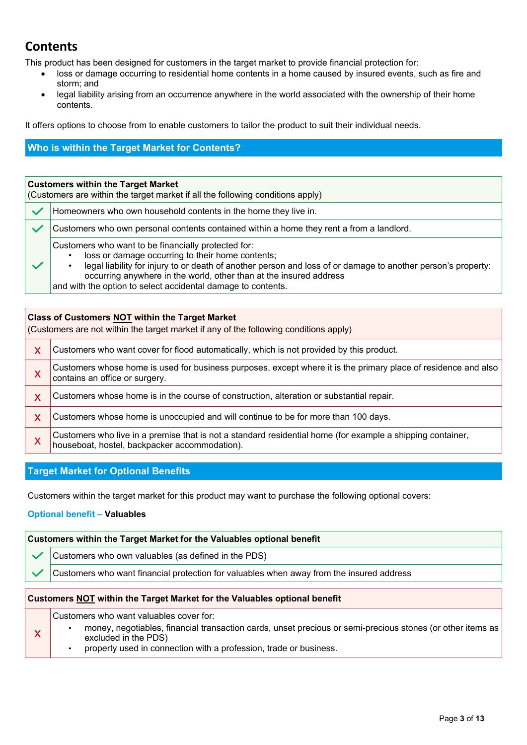## **Contents**

This product has been designed for customers in the target market to provide financial protection for:

- loss or damage occurring to residential home contents in a home caused by insured events, such as fire and storm; and
- legal liability arising from an occurrence anywhere in the world associated with the ownership of their home contents.

It offers options to choose from to enable customers to tailor the product to suit their individual needs.

### **Who is within the Target Market for Contents?**

| <b>Customers within the Target Market</b><br>(Customers are within the target market if all the following conditions apply)                                                                                                                                                                                                                                   |  |
|---------------------------------------------------------------------------------------------------------------------------------------------------------------------------------------------------------------------------------------------------------------------------------------------------------------------------------------------------------------|--|
| Homeowners who own household contents in the home they live in.                                                                                                                                                                                                                                                                                               |  |
| Customers who own personal contents contained within a home they rent a from a landlord.                                                                                                                                                                                                                                                                      |  |
| Customers who want to be financially protected for:<br>loss or damage occurring to their home contents;<br>legal liability for injury to or death of another person and loss of or damage to another person's property:<br>occurring anywhere in the world, other than at the insured address<br>and with the option to select accidental damage to contents. |  |

#### **Class of Customers NOT within the Target Market**

(Customers are not within the target market if any of the following conditions apply)

| Customers who want cover for flood automatically, which is not provided by this product.                                                                 |
|----------------------------------------------------------------------------------------------------------------------------------------------------------|
| Customers whose home is used for business purposes, except where it is the primary place of residence and also<br>contains an office or surgery.         |
| Customers whose home is in the course of construction, alteration or substantial repair.                                                                 |
| Customers whose home is unoccupied and will continue to be for more than 100 days.                                                                       |
| Customers who live in a premise that is not a standard residential home (for example a shipping container, houseboat, hostel, backpacker accommodation). |

#### **Target Market for Optional Benefits**

Customers within the target market for this product may want to purchase the following optional covers:

#### **Optional benefit – Valuables**

x

| <b>Customers within the Target Market for the Valuables optional benefit</b> |                                                                                          |
|------------------------------------------------------------------------------|------------------------------------------------------------------------------------------|
|                                                                              | Customers who own valuables (as defined in the PDS)                                      |
|                                                                              | Customers who want financial protection for valuables when away from the insured address |

#### **Customers NOT within the Target Market for the Valuables optional benefit**

Customers who want valuables cover for:

- money, negotiables, financial transaction cards, unset precious or semi-precious stones (or other items as excluded in the PDS)
- property used in connection with a profession, trade or business.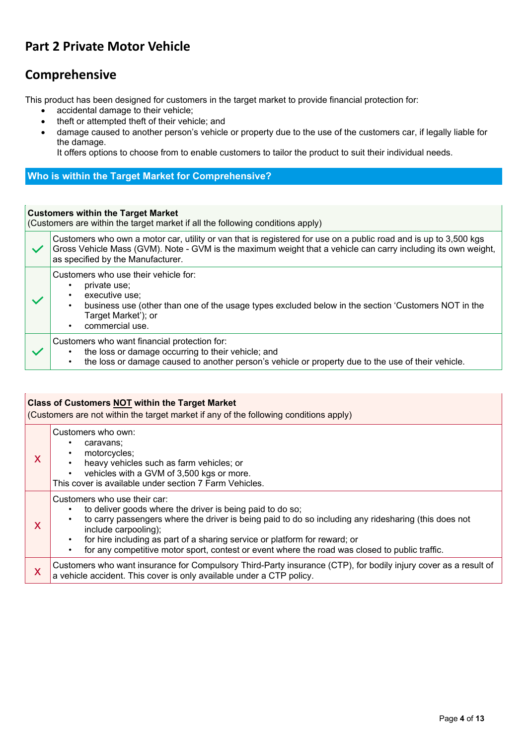## **Part 2 Private Motor Vehicle**

### **Comprehensive**

This product has been designed for customers in the target market to provide financial protection for:

- accidental damage to their vehicle;
- theft or attempted theft of their vehicle; and
- damage caused to another person's vehicle or property due to the use of the customers car, if legally liable for the damage.

It offers options to choose from to enable customers to tailor the product to suit their individual needs.

#### **Who is within the Target Market for Comprehensive?**

#### **Customers within the Target Market**

(Customers are within the target market if all the following conditions apply)

| $\checkmark$ | Customers who own a motor car, utility or van that is registered for use on a public road and is up to 3,500 kgs<br>Gross Vehicle Mass (GVM). Note - GVM is the maximum weight that a vehicle can carry including its own weight,<br>as specified by the Manufacturer. |
|--------------|------------------------------------------------------------------------------------------------------------------------------------------------------------------------------------------------------------------------------------------------------------------------|
|              | Customers who use their vehicle for:<br>private use;<br>executive use;<br>business use (other than one of the usage types excluded below in the section 'Customers NOT in the<br>Target Market'); or<br>commercial use.                                                |
|              | Customers who want financial protection for:<br>the loss or damage occurring to their vehicle; and<br>the loss or damage caused to another person's vehicle or property due to the use of their vehicle.                                                               |

| <b>Class of Customers NOT within the Target Market</b><br>(Customers are not within the target market if any of the following conditions apply) |                                                                                                                                                                                                                                                                                                                                                                                                                                     |
|-------------------------------------------------------------------------------------------------------------------------------------------------|-------------------------------------------------------------------------------------------------------------------------------------------------------------------------------------------------------------------------------------------------------------------------------------------------------------------------------------------------------------------------------------------------------------------------------------|
| X                                                                                                                                               | Customers who own:<br>caravans:<br>٠<br>motorcycles;<br>٠<br>heavy vehicles such as farm vehicles; or<br>$\bullet$<br>vehicles with a GVM of 3,500 kgs or more.<br>$\bullet$<br>This cover is available under section 7 Farm Vehicles.                                                                                                                                                                                              |
| X                                                                                                                                               | Customers who use their car:<br>to deliver goods where the driver is being paid to do so;<br>to carry passengers where the driver is being paid to do so including any ridesharing (this does not<br>include carpooling);<br>for hire including as part of a sharing service or platform for reward; or<br>$\bullet$<br>for any competitive motor sport, contest or event where the road was closed to public traffic.<br>$\bullet$ |
| X                                                                                                                                               | Customers who want insurance for Compulsory Third-Party insurance (CTP), for bodily injury cover as a result of<br>a vehicle accident. This cover is only available under a CTP policy.                                                                                                                                                                                                                                             |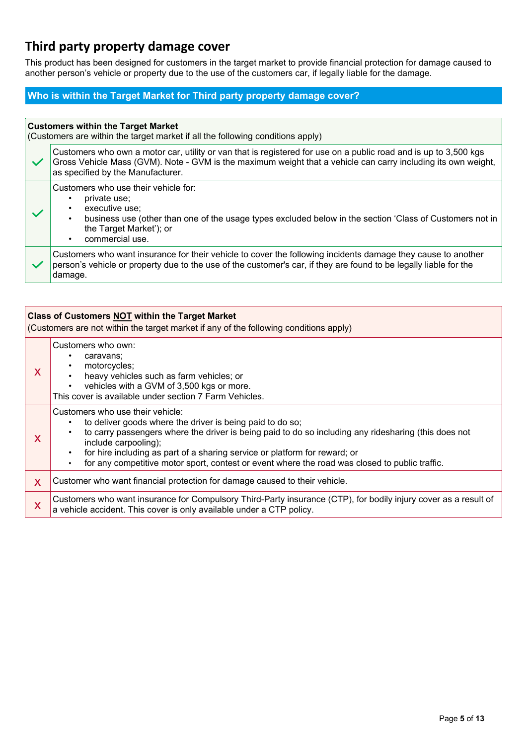## **Third party property damage cover**

This product has been designed for customers in the target market to provide financial protection for damage caused to another person's vehicle or property due to the use of the customers car, if legally liable for the damage.

#### **Who is within the Target Market for Third party property damage cover?**

|              | <b>Customers within the Target Market</b><br>(Customers are within the target market if all the following conditions apply)                                                                                                                                            |
|--------------|------------------------------------------------------------------------------------------------------------------------------------------------------------------------------------------------------------------------------------------------------------------------|
| $\checkmark$ | Customers who own a motor car, utility or van that is registered for use on a public road and is up to 3,500 kgs<br>Gross Vehicle Mass (GVM). Note - GVM is the maximum weight that a vehicle can carry including its own weight,<br>as specified by the Manufacturer. |
|              | Customers who use their vehicle for:<br>private use;<br>executive use:<br>business use (other than one of the usage types excluded below in the section 'Class of Customers not in<br>$\bullet$<br>the Target Market'); or<br>commercial use.                          |
|              | Customers who want insurance for their vehicle to cover the following incidents damage they cause to another<br>person's vehicle or property due to the use of the customer's car, if they are found to be legally liable for the<br>damage.                           |

|   | <b>Class of Customers NOT within the Target Market</b><br>(Customers are not within the target market if any of the following conditions apply)                                                                                                                                                                                                                                                                                              |  |
|---|----------------------------------------------------------------------------------------------------------------------------------------------------------------------------------------------------------------------------------------------------------------------------------------------------------------------------------------------------------------------------------------------------------------------------------------------|--|
| X | Customers who own:<br>caravans;<br>motorcycles;<br>heavy vehicles such as farm vehicles; or<br>vehicles with a GVM of 3,500 kgs or more.<br>$\bullet$<br>This cover is available under section 7 Farm Vehicles.                                                                                                                                                                                                                              |  |
| X | Customers who use their vehicle:<br>to deliver goods where the driver is being paid to do so;<br>٠<br>to carry passengers where the driver is being paid to do so including any ridesharing (this does not<br>$\bullet$<br>include carpooling);<br>for hire including as part of a sharing service or platform for reward; or<br>$\bullet$<br>for any competitive motor sport, contest or event where the road was closed to public traffic. |  |
| X | Customer who want financial protection for damage caused to their vehicle.                                                                                                                                                                                                                                                                                                                                                                   |  |
| X | Customers who want insurance for Compulsory Third-Party insurance (CTP), for bodily injury cover as a result of<br>a vehicle accident. This cover is only available under a CTP policy.                                                                                                                                                                                                                                                      |  |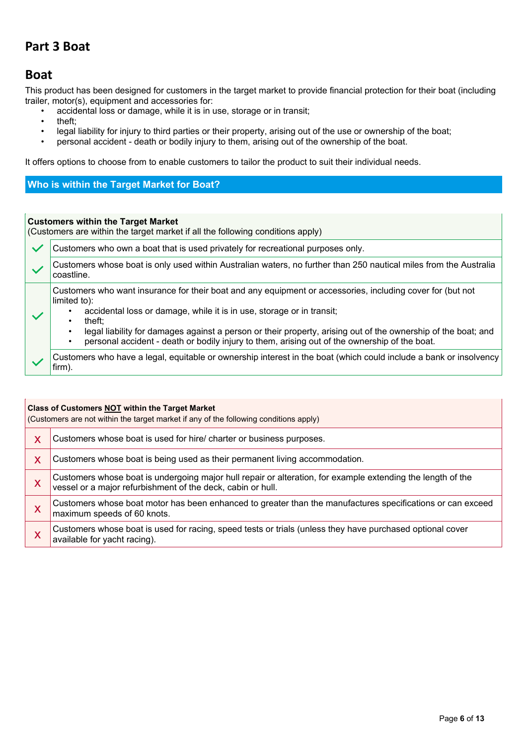### **Part 3 Boat**

### **Boat**

This product has been designed for customers in the target market to provide financial protection for their boat (including trailer, motor(s), equipment and accessories for:

- accidental loss or damage, while it is in use, storage or in transit;
- theft;
- legal liability for injury to third parties or their property, arising out of the use or ownership of the boat;<br>• personal accident death or bodily injury to them, arising out of the ownership of the boat
- personal accident death or bodily injury to them, arising out of the ownership of the boat.

It offers options to choose from to enable customers to tailor the product to suit their individual needs.

#### **Who is within the Target Market for Boat?**

#### **Customers within the Target Market**

(Customers are within the target market if all the following conditions apply)

| $\checkmark$ | Customers who own a boat that is used privately for recreational purposes only.                                                                                                                                                                                                                                                                                                                                                 |
|--------------|---------------------------------------------------------------------------------------------------------------------------------------------------------------------------------------------------------------------------------------------------------------------------------------------------------------------------------------------------------------------------------------------------------------------------------|
|              | Customers whose boat is only used within Australian waters, no further than 250 nautical miles from the Australia<br>coastline.                                                                                                                                                                                                                                                                                                 |
|              | Customers who want insurance for their boat and any equipment or accessories, including cover for (but not<br>limited to):<br>accidental loss or damage, while it is in use, storage or in transit;<br>theft:<br>legal liability for damages against a person or their property, arising out of the ownership of the boat; and<br>personal accident - death or bodily injury to them, arising out of the ownership of the boat. |
|              | Customers who have a legal, equitable or ownership interest in the boat (which could include a bank or insolvency)<br>firm).                                                                                                                                                                                                                                                                                                    |

| Class of Customers NOT within the Target Market<br>(Customers are not within the target market if any of the following conditions apply) |                                                                                                                                                                            |
|------------------------------------------------------------------------------------------------------------------------------------------|----------------------------------------------------------------------------------------------------------------------------------------------------------------------------|
| X                                                                                                                                        | Customers whose boat is used for hire/ charter or business purposes.                                                                                                       |
| X                                                                                                                                        | Customers whose boat is being used as their permanent living accommodation.                                                                                                |
| X                                                                                                                                        | Customers whose boat is undergoing major hull repair or alteration, for example extending the length of the<br>vessel or a major refurbishment of the deck, cabin or hull. |
| X                                                                                                                                        | Customers whose boat motor has been enhanced to greater than the manufactures specifications or can exceed<br>maximum speeds of 60 knots.                                  |
| $\boldsymbol{\mathsf{X}}$                                                                                                                | Customers whose boat is used for racing, speed tests or trials (unless they have purchased optional cover<br>available for yacht racing).                                  |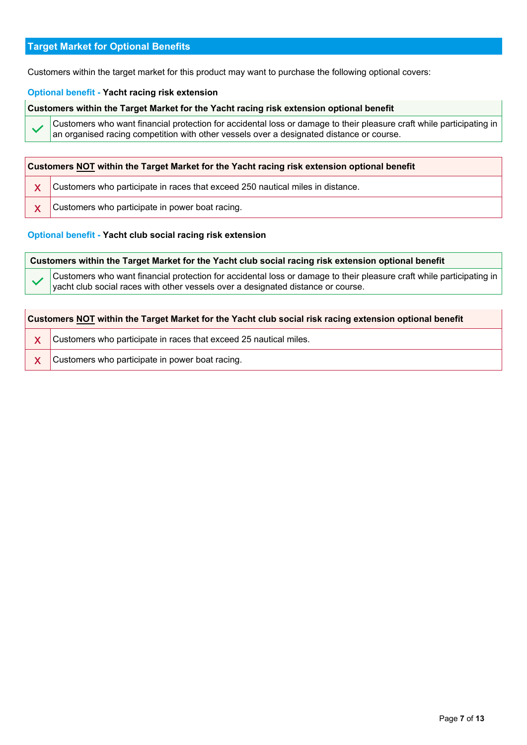#### **Target Market for Optional Benefits**

Customers within the target market for this product may want to purchase the following optional covers:

#### **Optional benefit - Yacht racing risk extension**

**Customers within the Target Market for the Yacht racing risk extension optional benefit**

Customers who want financial protection for accidental loss or damage to their pleasure craft while participating in an organised racing competition with other vessels over a designated distance or course.

| <b>Customers NOT within the Target Market for the Yacht racing risk extension optional benefit</b> |                                                                                |
|----------------------------------------------------------------------------------------------------|--------------------------------------------------------------------------------|
|                                                                                                    | Customers who participate in races that exceed 250 nautical miles in distance. |
| X                                                                                                  | Customers who participate in power boat racing.                                |

#### **Optional benefit - Yacht club social racing risk extension**

| Customers within the Target Market for the Yacht club social racing risk extension optional benefit     |                                                                                                                                                                                                            |
|---------------------------------------------------------------------------------------------------------|------------------------------------------------------------------------------------------------------------------------------------------------------------------------------------------------------------|
|                                                                                                         | Customers who want financial protection for accidental loss or damage to their pleasure craft while participating in  <br>yacht club social races with other vessels over a designated distance or course. |
|                                                                                                         |                                                                                                                                                                                                            |
| Customers NOT within the Target Market for the Yacht club social risk racing extension optional benefit |                                                                                                                                                                                                            |

X Customers who participate in races that exceed 25 nautical miles.

**X** Customers who participate in power boat racing.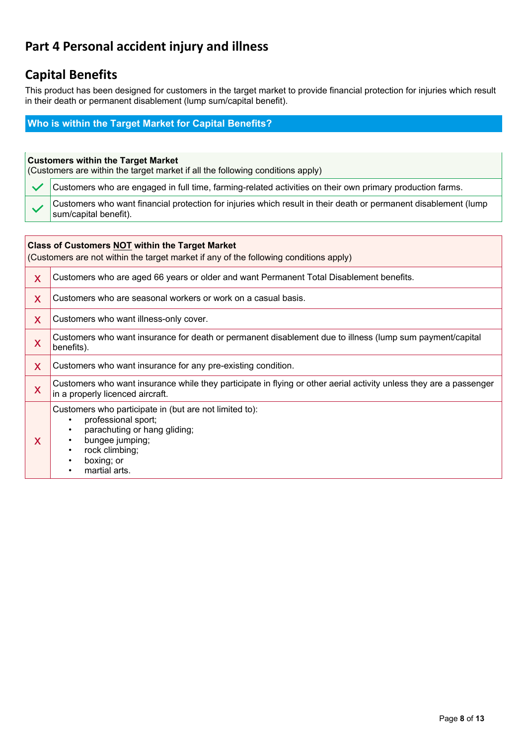## **Part 4 Personal accident injury and illness**

## **Capital Benefits**

This product has been designed for customers in the target market to provide financial protection for injuries which result in their death or permanent disablement (lump sum/capital benefit).

### **Who is within the Target Market for Capital Benefits?**

| <b>Customers within the Target Market</b><br>(Customers are within the target market if all the following conditions apply)                     |                                                                                                                                          |
|-------------------------------------------------------------------------------------------------------------------------------------------------|------------------------------------------------------------------------------------------------------------------------------------------|
| $\checkmark$                                                                                                                                    | Customers who are engaged in full time, farming-related activities on their own primary production farms.                                |
|                                                                                                                                                 | Customers who want financial protection for injuries which result in their death or permanent disablement (lump<br>sum/capital benefit). |
|                                                                                                                                                 |                                                                                                                                          |
| <b>Class of Customers NOT within the Target Market</b><br>(Customers are not within the target market if any of the following conditions apply) |                                                                                                                                          |

| X | Customers who are aged 66 years or older and want Permanent Total Disablement benefits.                                                                                                                                         |  |
|---|---------------------------------------------------------------------------------------------------------------------------------------------------------------------------------------------------------------------------------|--|
| X | Customers who are seasonal workers or work on a casual basis.                                                                                                                                                                   |  |
| X | Customers who want illness-only cover.                                                                                                                                                                                          |  |
| X | Customers who want insurance for death or permanent disablement due to illness (lump sum payment/capital<br>benefits).                                                                                                          |  |
| X | Customers who want insurance for any pre-existing condition.                                                                                                                                                                    |  |
| X | Customers who want insurance while they participate in flying or other aerial activity unless they are a passenger<br>in a properly licenced aircraft.                                                                          |  |
| X | Customers who participate in (but are not limited to):<br>professional sport;<br>٠<br>parachuting or hang gliding;<br>٠<br>bungee jumping;<br>٠<br>rock climbing;<br>$\bullet$<br>boxing; or<br>٠<br>martial arts.<br>$\bullet$ |  |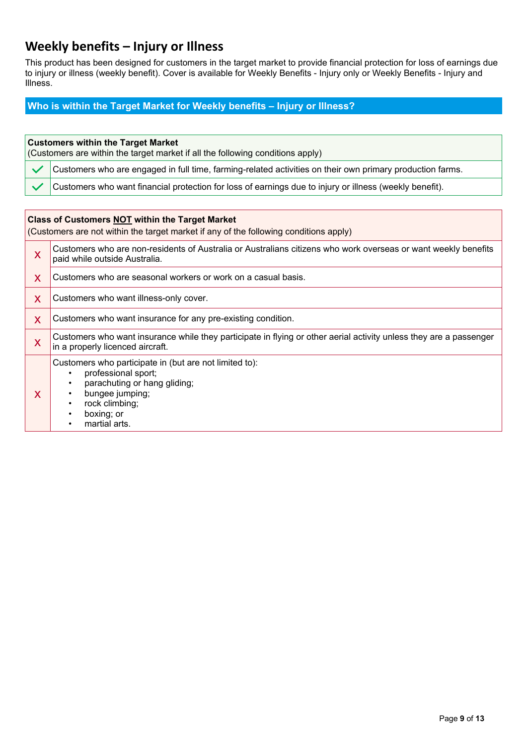## **Weekly benefits – Injury or Illness**

This product has been designed for customers in the target market to provide financial protection for loss of earnings due to injury or illness (weekly benefit). Cover is available for Weekly Benefits - Injury only or Weekly Benefits - Injury and Illness.

#### **Who is within the Target Market for Weekly benefits – Injury or Illness?**

#### **Customers within the Target Market**

| (Customers are within the target market if all the following conditions apply) |                                                                                                                  |
|--------------------------------------------------------------------------------|------------------------------------------------------------------------------------------------------------------|
|                                                                                | $\sim$ Customers who are engaged in full time, farming-related activities on their own primary production farms. |
|                                                                                | Customers who want financial protection for loss of earnings due to injury or illness (weekly benefit).          |

#### **Class of Customers NOT within the Target Market**

(Customers are not within the target market if any of the following conditions apply)

| X | Customers who are non-residents of Australia or Australians citizens who work overseas or want weekly benefits<br>paid while outside Australia.                                                     |  |
|---|-----------------------------------------------------------------------------------------------------------------------------------------------------------------------------------------------------|--|
| X | Customers who are seasonal workers or work on a casual basis.                                                                                                                                       |  |
| X | Customers who want illness-only cover.                                                                                                                                                              |  |
| X | Customers who want insurance for any pre-existing condition.                                                                                                                                        |  |
| X | Customers who want insurance while they participate in flying or other aerial activity unless they are a passenger<br>in a properly licenced aircraft.                                              |  |
| X | Customers who participate in (but are not limited to):<br>professional sport;<br>parachuting or hang gliding;<br>bungee jumping;<br>rock climbing;<br>boxing; or<br>٠<br>martial arts.<br>$\bullet$ |  |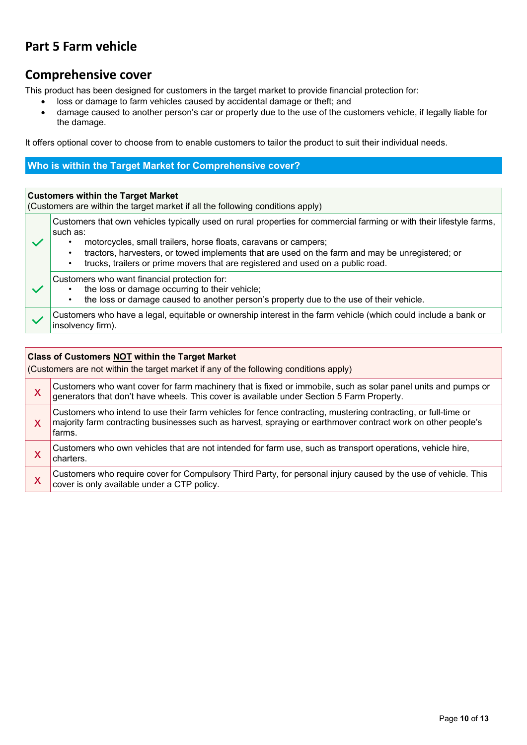## **Part 5 Farm vehicle**

### **Comprehensive cover**

This product has been designed for customers in the target market to provide financial protection for:

- loss or damage to farm vehicles caused by accidental damage or theft; and
- damage caused to another person's car or property due to the use of the customers vehicle, if legally liable for the damage.

It offers optional cover to choose from to enable customers to tailor the product to suit their individual needs.

#### **Who is within the Target Market for Comprehensive cover?**

#### **Customers within the Target Market**

(Customers are within the target market if all the following conditions apply)

Customers that own vehicles typically used on rural properties for commercial farming or with their lifestyle farms, such as:

- motorcycles, small trailers, horse floats, caravans or campers;
	- tractors, harvesters, or towed implements that are used on the farm and may be unregistered; or
		- trucks, trailers or prime movers that are registered and used on a public road.

#### Customers who want financial protection for:

- the loss or damage occurring to their vehicle;<br>• the loss or damage caused to another person
- the loss or damage caused to another person's property due to the use of their vehicle.

Customers who have a legal, equitable or ownership interest in the farm vehicle (which could include a bank or insolvency firm).

| <b>Class of Customers NOT within the Target Market</b><br>(Customers are not within the target market if any of the following conditions apply) |                                                                                                                                                                                                                                         |
|-------------------------------------------------------------------------------------------------------------------------------------------------|-----------------------------------------------------------------------------------------------------------------------------------------------------------------------------------------------------------------------------------------|
| X                                                                                                                                               | Customers who want cover for farm machinery that is fixed or immobile, such as solar panel units and pumps or<br>generators that don't have wheels. This cover is available under Section 5 Farm Property.                              |
| X                                                                                                                                               | Customers who intend to use their farm vehicles for fence contracting, mustering contracting, or full-time or<br>majority farm contracting businesses such as harvest, spraying or earthmover contract work on other people's<br>farms. |
|                                                                                                                                                 | Customers who own vehicles that are not intended for farm use, such as transport operations, vehicle hire,<br>charters.                                                                                                                 |
|                                                                                                                                                 | Customers who require cover for Compulsory Third Party, for personal injury caused by the use of vehicle. This<br>cover is only available under a CTP policy.                                                                           |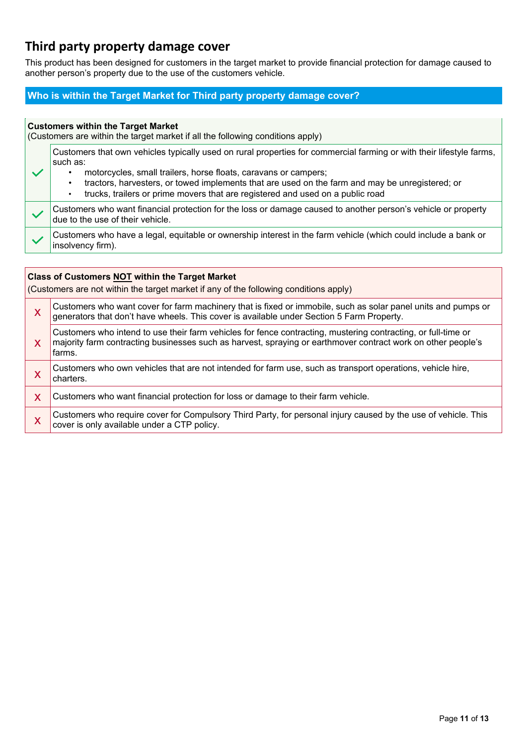## **Third party property damage cover**

This product has been designed for customers in the target market to provide financial protection for damage caused to another person's property due to the use of the customers vehicle.

#### **Who is within the Target Market for Third party property damage cover?**

| <b>Customers within the Target Market</b><br>(Customers are within the target market if all the following conditions apply) |                                                                                                                                                                                                                                                                                                                                                                                                                         |  |
|-----------------------------------------------------------------------------------------------------------------------------|-------------------------------------------------------------------------------------------------------------------------------------------------------------------------------------------------------------------------------------------------------------------------------------------------------------------------------------------------------------------------------------------------------------------------|--|
|                                                                                                                             | Customers that own vehicles typically used on rural properties for commercial farming or with their lifestyle farms,<br>such as:<br>motorcycles, small trailers, horse floats, caravans or campers;<br>٠<br>tractors, harvesters, or towed implements that are used on the farm and may be unregistered; or<br>$\bullet$<br>trucks, trailers or prime movers that are registered and used on a public road<br>$\bullet$ |  |
|                                                                                                                             | Customers who want financial protection for the loss or damage caused to another person's vehicle or property<br>due to the use of their vehicle.                                                                                                                                                                                                                                                                       |  |
|                                                                                                                             | Customers who have a legal, equitable or ownership interest in the farm vehicle (which could include a bank or<br>insolvency firm).                                                                                                                                                                                                                                                                                     |  |
|                                                                                                                             |                                                                                                                                                                                                                                                                                                                                                                                                                         |  |
| <b>Class of Customers NOT within the Target Market</b>                                                                      |                                                                                                                                                                                                                                                                                                                                                                                                                         |  |

(Customers are not within the target market if any of the following conditions apply) x Customers who want cover for farm machinery that is fixed or immobile, such as solar panel units and pumps or generators that don't have wheels. This cover is available under Section 5 Farm Property. x Customers who intend to use their farm vehicles for fence contracting, mustering contracting, or full-time or majority farm contracting businesses such as harvest, spraying or earthmover contract work on other people's farms. X Customers who own vehicles that are not intended for farm use, such as transport operations, vehicle hire, charters. X Customers who want financial protection for loss or damage to their farm vehicle. X Customers who require cover for Compulsory Third Party, for personal injury caused by the use of vehicle. This cover is only available under a CTP policy.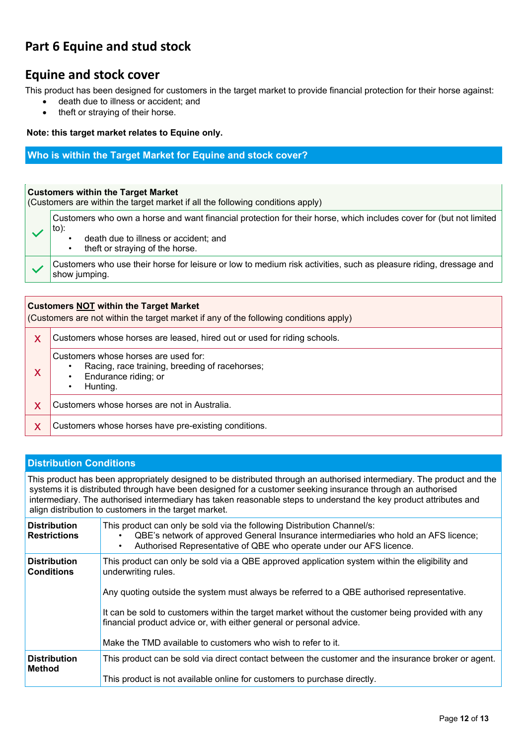## **Part 6 Equine and stud stock**

### **Equine and stock cover**

This product has been designed for customers in the target market to provide financial protection for their horse against:

- death due to illness or accident; and
- theft or straying of their horse.

#### **Note: this target market relates to Equine only.**

#### **Who is within the Target Market for Equine and stock cover?**

#### **Customers within the Target Market**

(Customers are within the target market if all the following conditions apply)

Customers who own a horse and want financial protection for their horse, which includes cover for (but not limited to):

• death due to illness or accident; and theft or straving of the horse.

Customers who use their horse for leisure or low to medium risk activities, such as pleasure riding, dressage and show jumping.

| <b>Customers NOT within the Target Market</b><br>(Customers are not within the target market if any of the following conditions apply) |                                                                                                                            |  |
|----------------------------------------------------------------------------------------------------------------------------------------|----------------------------------------------------------------------------------------------------------------------------|--|
| X                                                                                                                                      | Customers whose horses are leased, hired out or used for riding schools.                                                   |  |
|                                                                                                                                        | Customers whose horses are used for:<br>Racing, race training, breeding of racehorses;<br>Endurance riding; or<br>Hunting. |  |
|                                                                                                                                        | Customers whose horses are not in Australia.                                                                               |  |
|                                                                                                                                        | Customers whose horses have pre-existing conditions.                                                                       |  |

#### **Distribution Conditions**

This product has been appropriately designed to be distributed through an authorised intermediary. The product and the systems it is distributed through have been designed for a customer seeking insurance through an authorised intermediary. The authorised intermediary has taken reasonable steps to understand the key product attributes and align distribution to customers in the target market.

| <b>Distribution</b><br><b>Restrictions</b> | This product can only be sold via the following Distribution Channel/s:<br>QBE's network of approved General Insurance intermediaries who hold an AFS licence;<br>Authorised Representative of QBE who operate under our AFS licence.     |
|--------------------------------------------|-------------------------------------------------------------------------------------------------------------------------------------------------------------------------------------------------------------------------------------------|
| <b>Distribution</b><br><b>Conditions</b>   | This product can only be sold via a QBE approved application system within the eligibility and<br>underwriting rules.<br>Any quoting outside the system must always be referred to a QBE authorised representative.                       |
|                                            | It can be sold to customers within the target market without the customer being provided with any<br>financial product advice or, with either general or personal advice.<br>Make the TMD available to customers who wish to refer to it. |
| <b>Distribution</b><br>Method              | This product can be sold via direct contact between the customer and the insurance broker or agent.<br>This product is not available online for customers to purchase directly.                                                           |